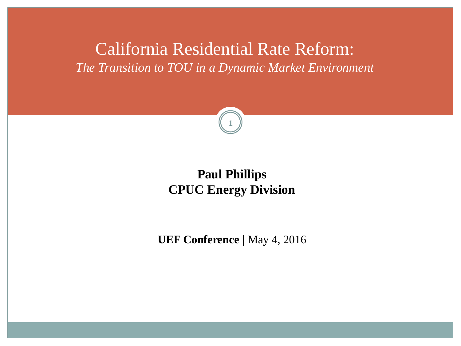California Residential Rate Reform: *The Transition to TOU in a Dynamic Market Environment*



## **Paul Phillips CPUC Energy Division**

**UEF Conference** *|* May 4, 2016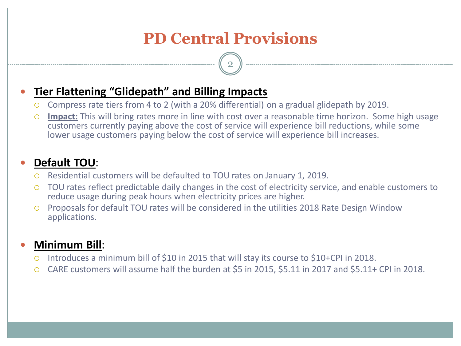# **PD Central Provisions**

2

## **Tier Flattening "Glidepath" and Billing Impacts**

- Compress rate tiers from 4 to 2 (with a 20% differential) on a gradual glidepath by 2019.
- **Impact:** This will bring rates more in line with cost over a reasonable time horizon. Some high usage customers currently paying above the cost of service will experience bill reductions, while some lower usage customers paying below the cost of service will experience bill increases.

## **Default TOU**:

- Residential customers will be defaulted to TOU rates on January 1, 2019.
- TOU rates reflect predictable daily changes in the cost of electricity service, and enable customers to reduce usage during peak hours when electricity prices are higher.
- Proposals for default TOU rates will be considered in the utilities 2018 Rate Design Window applications.

## **Minimum Bill**:

- Introduces a minimum bill of \$10 in 2015 that will stay its course to \$10+CPI in 2018.
- CARE customers will assume half the burden at \$5 in 2015, \$5.11 in 2017 and \$5.11+ CPI in 2018.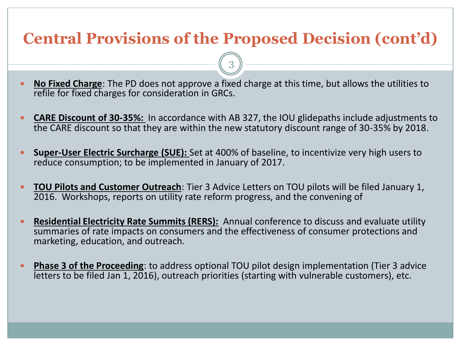# **Central Provisions of the Proposed Decision (cont'd)**

3

- **No Fixed Charge**: The PD does not approve a fixed charge at this time, but allows the utilities to refile for fixed charges for consideration in GRCs.
- **CARE Discount of 30-35%:** In accordance with AB 327, the IOU glidepaths include adjustments to the CARE discount so that they are within the new statutory discount range of 30-35% by 2018.
- **Super-User Electric Surcharge (SUE):** Set at 400% of baseline, to incentivize very high users to reduce consumption; to be implemented in January of 2017.
- **TOU Pilots and Customer Outreach**: Tier 3 Advice Letters on TOU pilots will be filed January 1, 2016. Workshops, reports on utility rate reform progress, and the convening of
- **Residential Electricity Rate Summits (RERS):** Annual conference to discuss and evaluate utility summaries of rate impacts on consumers and the effectiveness of consumer protections and marketing, education, and outreach.
- **Phase 3 of the Proceeding**: to address optional TOU pilot design implementation (Tier 3 advice letters to be filed Jan 1, 2016), outreach priorities (starting with vulnerable customers), etc.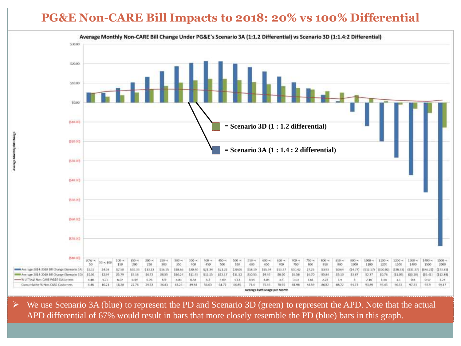## **PG&E Non-CARE Bill Impacts to 2018: 20% vs 100% Differential**



 $\triangleright$  We use Scenario 3A (blue) to represent the PD and Scenario 3D (green) to represent the APD. Note that the actual APD differential of 67% would result in bars that more closely resemble the PD (blue) bars in this graph.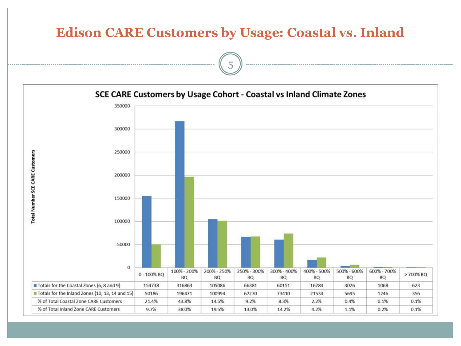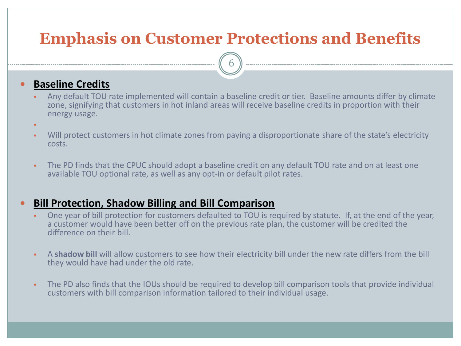## **Emphasis on Customer Protections and Benefits**

6

#### **Baseline Credits**

- Any default TOU rate implemented will contain a baseline credit or tier. Baseline amounts differ by climate zone, signifying that customers in hot inland areas will receive baseline credits in proportion with their energy usage.
- ۳
- Will protect customers in hot climate zones from paying a disproportionate share of the state's electricity costs.
- The PD finds that the CPUC should adopt a baseline credit on any default TOU rate and on at least one available TOU optional rate, as well as any opt-in or default pilot rates.

#### **Bill Protection, Shadow Billing and Bill Comparison**

- One year of bill protection for customers defaulted to TOU is required by statute. If, at the end of the year, a customer would have been better off on the previous rate plan, the customer will be credited the difference on their bill.
- A **shadow bill** will allow customers to see how their electricity bill under the new rate differs from the bill they would have had under the old rate.
- The PD also finds that the IOUs should be required to develop bill comparison tools that provide individual customers with bill comparison information tailored to their individual usage.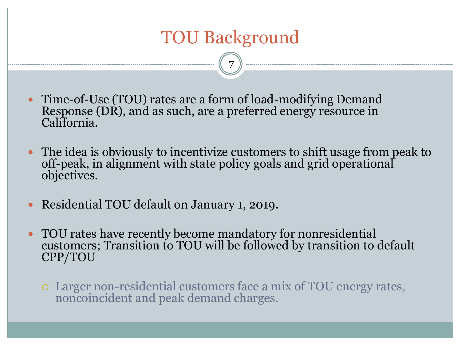# TOU Background

7

- Time-of-Use (TOU) rates are a form of load-modifying Demand Response (DR), and as such, are a preferred energy resource in California.
- The idea is obviously to incentivize customers to shift usage from peak to off-peak, in alignment with state policy goals and grid operational objectives.
- Residential TOU default on January 1, 2019.
- TOU rates have recently become mandatory for nonresidential customers; Transition to TOU will be followed by transition to default CPP/TOU
	- Larger non-residential customers face a mix of TOU energy rates, noncoincident and peak demand charges.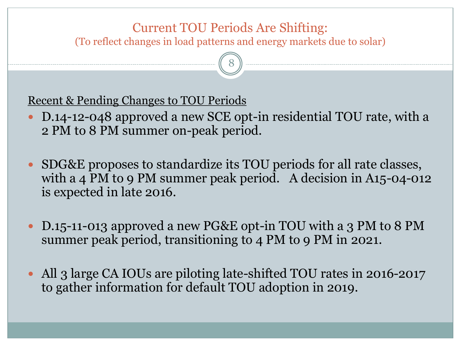## Current TOU Periods Are Shifting: (To reflect changes in load patterns and energy markets due to solar)

8

Recent & Pending Changes to TOU Periods

- D.14-12-048 approved a new SCE opt-in residential TOU rate, with a 2 PM to 8 PM summer on-peak period.
- SDG&E proposes to standardize its TOU periods for all rate classes, with a 4 PM to 9 PM summer peak period. A decision in A15-04-012 is expected in late 2016.
- D.15-11-013 approved a new PG&E opt-in TOU with a 3 PM to 8 PM summer peak period, transitioning to 4 PM to 9 PM in 2021.
- All 3 large CA IOUs are piloting late-shifted TOU rates in 2016-2017 to gather information for default TOU adoption in 2019.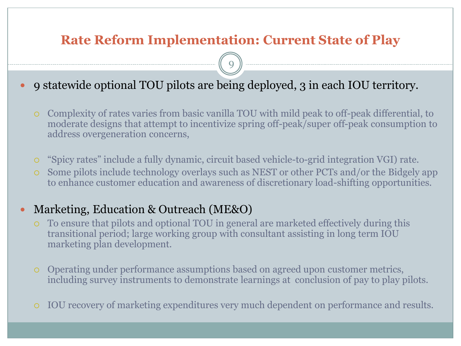## **Rate Reform Implementation: Current State of Play**

9

- 9 statewide optional TOU pilots are being deployed, 3 in each IOU territory.
	- Complexity of rates varies from basic vanilla TOU with mild peak to off-peak differential, to moderate designs that attempt to incentivize spring off-peak/super off-peak consumption to address overgeneration concerns,
	- "Spicy rates" include a fully dynamic, circuit based vehicle-to-grid integration VGI) rate.
	- Some pilots include technology overlays such as NEST or other PCTs and/or the Bidgely app to enhance customer education and awareness of discretionary load-shifting opportunities.

### • Marketing, Education & Outreach (ME&O)

- To ensure that pilots and optional TOU in general are marketed effectively during this transitional period; large working group with consultant assisting in long term IOU marketing plan development.
- Operating under performance assumptions based on agreed upon customer metrics, including survey instruments to demonstrate learnings at conclusion of pay to play pilots.
- IOU recovery of marketing expenditures very much dependent on performance and results.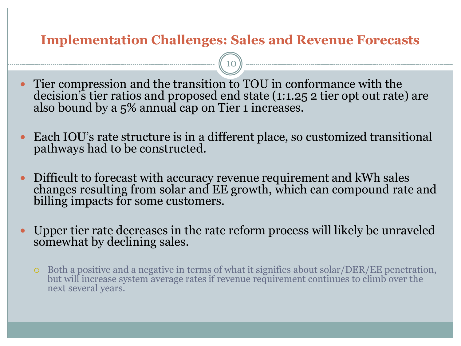## **Implementation Challenges: Sales and Revenue Forecasts**

10

 Tier compression and the transition to TOU in conformance with the decision's tier ratios and proposed end state (1:1.25 2 tier opt out rate) are also bound by a 5% annual cap on Tier 1 increases.

- Each IOU's rate structure is in a different place, so customized transitional pathways had to be constructed.
- Difficult to forecast with accuracy revenue requirement and kWh sales changes resulting from solar and EE growth, which can compound rate and billing impacts for some customers.
- Upper tier rate decreases in the rate reform process will likely be unraveled somewhat by declining sales.
	- Both a positive and a negative in terms of what it signifies about solar/DER/EE penetration, but will increase system average rates if revenue requirement continues to climb over the next several years.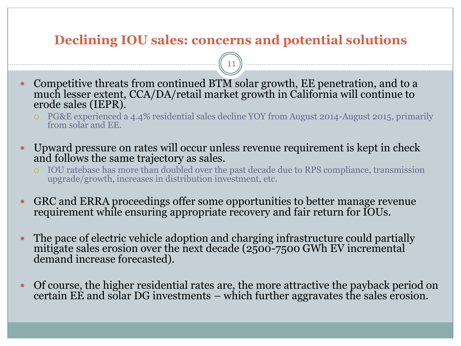## **Declining IOU sales: concerns and potential solutions**

11

- Competitive threats from continued BTM solar growth, EE penetration, and to a much lesser extent, CCA/DA/retail market growth in California will continue to erode sales (IEPR).
	- PG&E experienced a 4.4% residential sales decline YOY from August 2014-August 2015, primarily from solar and EE.
- Upward pressure on rates will occur unless revenue requirement is kept in check and follows the same trajectory as sales.
	- IOU ratebase has more than doubled over the past decade due to RPS compliance, transmission upgrade/growth, increases in distribution investment, etc.
- GRC and ERRA proceedings offer some opportunities to better manage revenue requirement while ensuring appropriate recovery and fair return for IOUs.
- The pace of electric vehicle adoption and charging infrastructure could partially mitigate sales erosion over the next decade (2500-7500 GWh EV incremental demand increase forecasted).
- Of course, the higher residential rates are, the more attractive the payback period on certain EE and solar DG investments – which further aggravates the sales erosion.